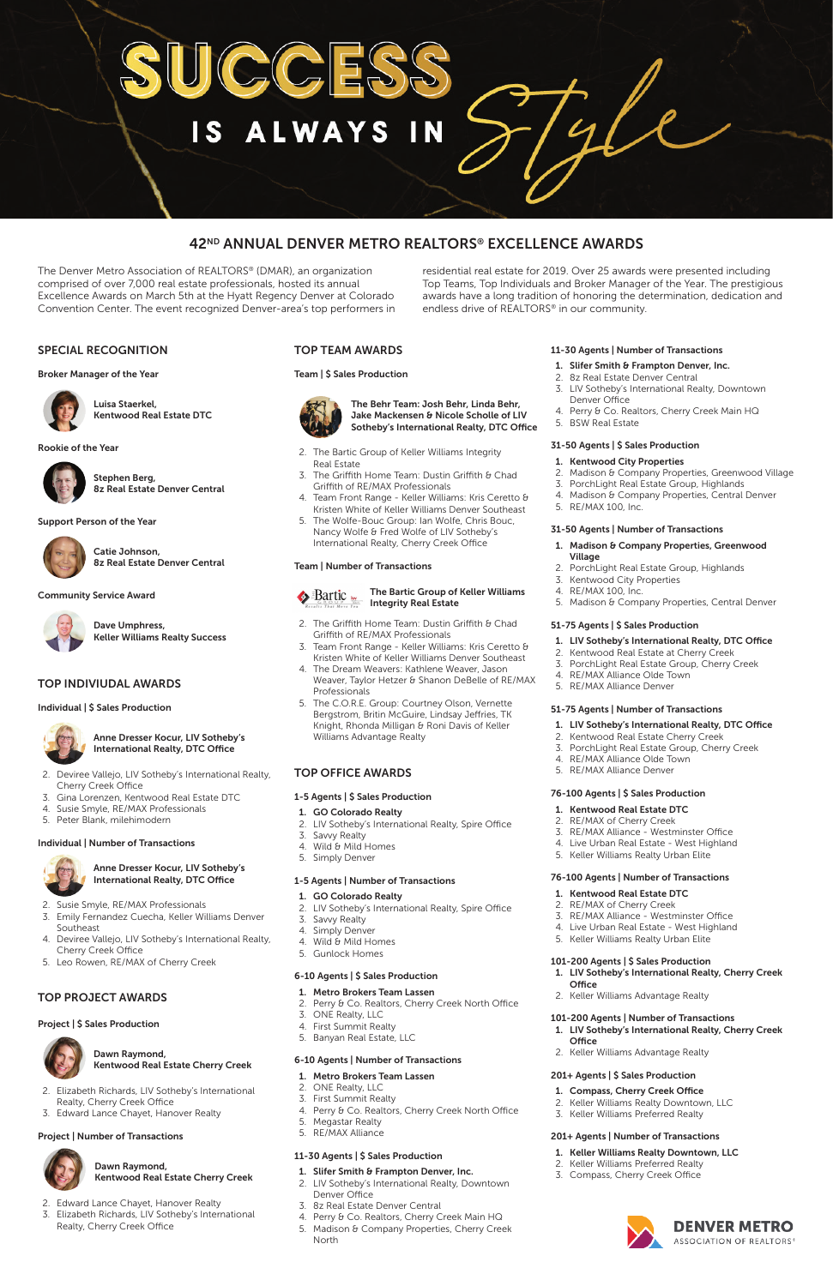## SPECIAL RECOGNITION

#### Broker Manager of the Year



Luisa Staerkel, Kentwood Real Estate DTC

#### Rookie of the Year



Stephen Berg, 8z Real Estate Denver Central

#### Support Person of the Year



Catie Johnson, 8z Real Estate Denver Central

#### Community Service Award



Dave Umphress, Keller Williams Realty Success

## TOP INDIVIUDAL AWARDS

Individual | \$ Sales Production



Anne Dresser Kocur, LIV Sotheby's International Realty, DTC Office

- 2. Deviree Vallejo, LIV Sotheby's International Realty, Cherry Creek Office
- 3. Gina Lorenzen, Kentwood Real Estate DTC
- 4. Susie Smyle, RE/MAX Professionals
- 5. Peter Blank, milehimodern

#### Individual | Number of Transactions



Anne Dresser Kocur, LIV Sotheby's

International Realty, DTC Office

- 2. Susie Smyle, RE/MAX Professionals
- 3. Emily Fernandez Cuecha, Keller Williams Denver Southeast 4. Deviree Vallejo, LIV Sotheby's International Realty,

Cherry Creek Office

5. Leo Rowen, RE/MAX of Cherry Creek

## TOP PROJECT AWARDS

#### Project | \$ Sales Production



## **Bartic Exercity Bartic Group of Keller Williams** Integrity Real Estate

Dawn Raymond, Kentwood Real Estate Cherry Creek

- 2. Elizabeth Richards, LIV Sotheby's International Realty, Cherry Creek Office
- 3. Edward Lance Chayet, Hanover Realty

#### Project | Number of Transactions



 Dawn Raymond, Kentwood Real Estate Cherry Creek

- 2. The Griffith Home Team: Dustin Griffith & Chad Griffith of RE/MAX Professionals
- 3. Team Front Range Keller Williams: Kris Ceretto & Kristen White of Keller Williams Denver Southeast
- 4. The Dream Weavers: Kathlene Weaver, Jason Weaver, Taylor Hetzer & Shanon DeBelle of RE/MAX Professionals
- 5. The C.O.R.E. Group: Courtney Olson, Vernette Bergstrom, Britin McGuire, Lindsay Jeffries, TK Knight, Rhonda Milligan & Roni Davis of Keller Williams Advantage Realty

- 2. Edward Lance Chayet, Hanover Realty
- 3. Elizabeth Richards, LIV Sotheby's International Realty, Cherry Creek Office

## TOP TEAM AWARDS

#### Team | \$ Sales Production



 The Behr Team: Josh Behr, Linda Behr, Jake Mackensen & Nicole Scholle of LIV Sotheby's International Realty, DTC Office

- 2. The Bartic Group of Keller Williams Integrity Real Estate
- 3. The Griffith Home Team: Dustin Griffith  $\theta$  Chad Griffith of RE/MAX Professionals
- 4. Team Front Range Keller Williams: Kris Ceretto & Kristen White of Keller Williams Denver Southeast
- 5. The Wolfe-Bouc Group: Ian Wolfe, Chris Bouc, Nancy Wolfe & Fred Wolfe of LIV Sotheby's International Realty, Cherry Creek Office

#### Team | Number of Transactions



## TOP OFFICE AWARDS

## 1-5 Agents | \$ Sales Production

## 1. GO Colorado Realty

- 2. LIV Sotheby's International Realty, Spire Office
- 3. Savvy Realty
- 4. Wild & Mild Homes
- 5. Simply Denver

### 1-5 Agents | Number of Transactions

#### 1. GO Colorado Realty

- 2. LIV Sotheby's International Realty, Spire Office
- 3. Savvy Realty
- 4. Simply Denver
	-
- 
- 4. Wild & Mild Homes

5. Gunlock Homes

## 6-10 Agents | \$ Sales Production

- 1. Metro Brokers Team Lassen
- 2. Perry & Co. Realtors, Cherry Creek North Office
- 3. ONE Realty, LLC
- 4. First Summit Realty
- 5. Banyan Real Estate, LLC

## 6-10 Agents | Number of Transactions

- 1. Metro Brokers Team Lassen
- 2. ONE Realty, LLC
- 3. First Summit Realty
- 4. Perry & Co. Realtors, Cherry Creek North Office
- 5. Megastar Realty
- 5. RE/MAX Alliance

## 11-30 Agents | \$ Sales Production

- 1. Slifer Smith & Frampton Denver, Inc.
- 2. LIV Sotheby's International Realty, Downtown Denver Office
- 3. 8z Real Estate Denver Central
- 4. Perry & Co. Realtors, Cherry Creek Main HQ
- 5. Madison & Company Properties, Cherry Creek North

### 11-30 Agents | Number of Transactions

- 1. Slifer Smith & Frampton Denver, Inc.
- 2. 8z Real Estate Denver Central
- 3. LIV Sotheby's International Realty, Downtown Denver Office
- 4. Perry & Co. Realtors, Cherry Creek Main HQ
- 5. BSW Real Estate

#### 31-50 Agents | \$ Sales Production

- 1. Kentwood City Properties
- 2. Madison & Company Properties, Greenwood Village
- 3. PorchLight Real Estate Group, Highlands
- 4. Madison & Company Properties, Central Denver
- 5. RE/MAX 100, Inc.

#### 31-50 Agents | Number of Transactions

- 1. Madison & Company Properties, Greenwood Village
- 2. PorchLight Real Estate Group, Highlands
- 3. Kentwood City Properties
- 4. RE/MAX 100, Inc.
- 5. Madison & Company Properties, Central Denver

## 51-75 Agents | \$ Sales Production

- 1. LIV Sotheby's International Realty, DTC Office
- 2. Kentwood Real Estate at Cherry Creek
- 3. PorchLight Real Estate Group, Cherry Creek
- 4. RE/MAX Alliance Olde Town
- 5. RE/MAX Alliance Denver

#### 51-75 Agents | Number of Transactions

- 1. LIV Sotheby's International Realty, DTC Office
- 2. Kentwood Real Estate Cherry Creek
- 3. PorchLight Real Estate Group, Cherry Creek
- 4. RE/MAX Alliance Olde Town
- 5. RE/MAX Alliance Denver

#### 76-100 Agents | \$ Sales Production

- 1. Kentwood Real Estate DTC
- 2. RE/MAX of Cherry Creek
- 3. RE/MAX Alliance Westminster Office
- 4. Live Urban Real Estate West Highland
- 5. Keller Williams Realty Urban Elite

#### 76-100 Agents | Number of Transactions

- 1. Kentwood Real Estate DTC
- 2. RE/MAX of Cherry Creek
- 3. RE/MAX Alliance Westminster Office 4. Live Urban Real Estate - West Highland

5. Keller Williams Realty Urban Elite

### 101-200 Agents | \$ Sales Production

- 1. LIV Sotheby's International Realty, Cherry Creek **Office**
- 2. Keller Williams Advantage Realty

## 101-200 Agents | Number of Transactions

- 1. LIV Sotheby's International Realty, Cherry Creek **Office**
- 2. Keller Williams Advantage Realty

## 201+ Agents | \$ Sales Production

### 1. Compass, Cherry Creek Office

- 2. Keller Williams Realty Downtown, LLC
- 3. Keller Williams Preferred Realty

## 201+ Agents | Number of Transactions

- 1. Keller Williams Realty Downtown, LLC
- 2. Keller Williams Preferred Realty
- 3. Compass, Cherry Creek Office



# **IN** IS ALWAYS

## 42ND ANNUAL DENVER METRO REALTORS® EXCELLENCE AWARDS

The Denver Metro Association of REALTORS® (DMAR), an organization comprised of over 7,000 real estate professionals, hosted its annual Excellence Awards on March 5th at the Hyatt Regency Denver at Colorado Convention Center. The event recognized Denver-area's top performers in residential real estate for 2019. Over 25 awards were presented including Top Teams, Top Individuals and Broker Manager of the Year. The prestigious awards have a long tradition of honoring the determination, dedication and endless drive of REALTORS® in our community.